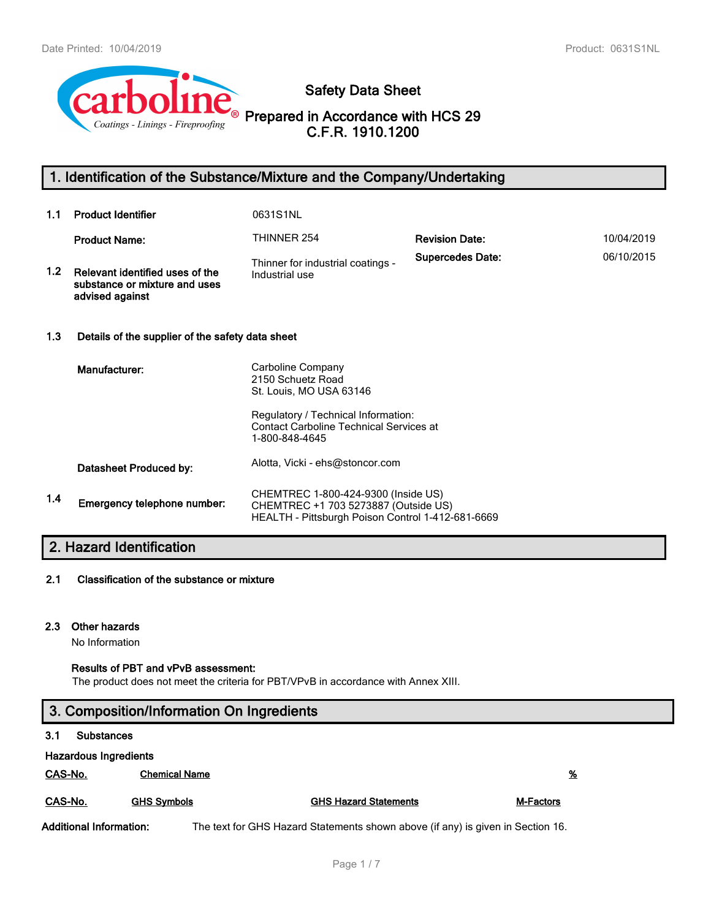

# **Safety Data Sheet**

**Prepared in Accordance with HCS 29 C.F.R. 1910.1200**

# **1. Identification of the Substance/Mixture and the Company/Undertaking**

| 1.1              | <b>Product Identifier</b>                                                           | 0631S1NL                                                                                                                                                                     |                         |            |
|------------------|-------------------------------------------------------------------------------------|------------------------------------------------------------------------------------------------------------------------------------------------------------------------------|-------------------------|------------|
|                  | <b>Product Name:</b>                                                                | THINNER 254                                                                                                                                                                  | <b>Revision Date:</b>   | 10/04/2019 |
| 1.2 <sub>1</sub> | Relevant identified uses of the<br>substance or mixture and uses<br>advised against | Thinner for industrial coatings -<br>Industrial use                                                                                                                          | <b>Supercedes Date:</b> | 06/10/2015 |
| 1.3              | Details of the supplier of the safety data sheet                                    |                                                                                                                                                                              |                         |            |
|                  | Manufacturer:                                                                       | Carboline Company<br>2150 Schuetz Road<br>St. Louis, MO USA 63146<br>Regulatory / Technical Information:<br><b>Contact Carboline Technical Services at</b><br>1-800-848-4645 |                         |            |
|                  | Datasheet Produced by:                                                              | Alotta, Vicki - ehs@stoncor.com                                                                                                                                              |                         |            |
| 1.4              | Emergency telephone number:                                                         | CHEMTREC 1-800-424-9300 (Inside US)<br>CHEMTREC +1 703 5273887 (Outside US)<br>HEALTH - Pittsburgh Poison Control 1-412-681-6669                                             |                         |            |

# **2. Hazard Identification**

#### **2.1 Classification of the substance or mixture**

#### **2.3 Other hazards**

No Information

#### **Results of PBT and vPvB assessment:**

The product does not meet the criteria for PBT/VPvB in accordance with Annex XIII.

## **3. Composition/Information On Ingredients**

#### **3.1 Substances**

| <b>Hazardous Ingredients</b>   |                      |                                                                                 |                  |   |
|--------------------------------|----------------------|---------------------------------------------------------------------------------|------------------|---|
| CAS-No.                        | <b>Chemical Name</b> |                                                                                 |                  | % |
| CAS-No.                        | <b>GHS Symbols</b>   | <b>GHS Hazard Statements</b>                                                    | <b>M-Factors</b> |   |
| <b>Additional Information:</b> |                      | The text for GHS Hazard Statements shown above (if any) is given in Section 16. |                  |   |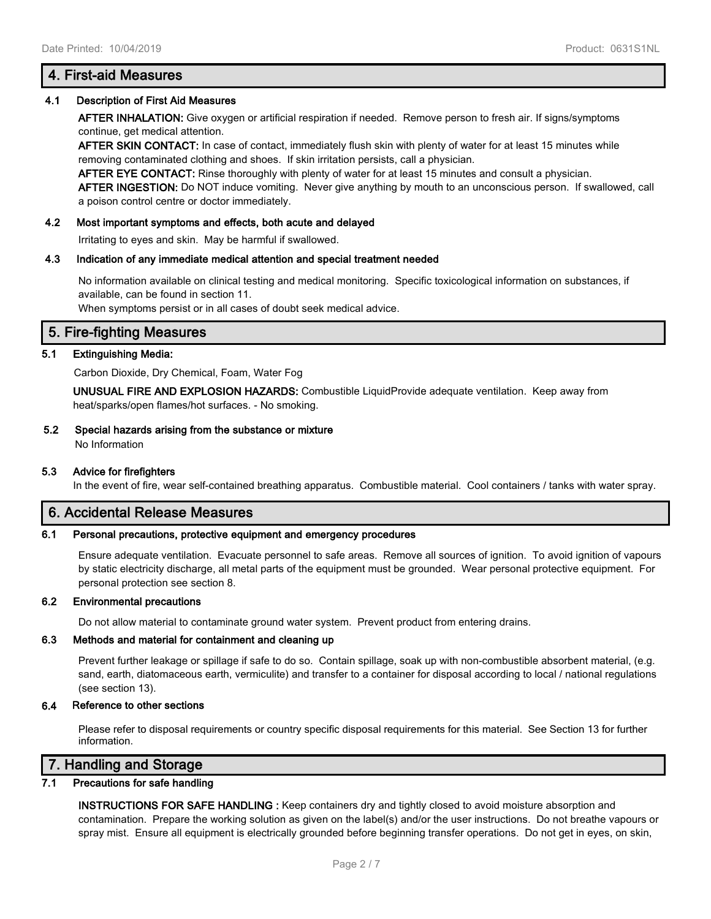## **4.1 Description of First Aid Measures**

**AFTER INHALATION:** Give oxygen or artificial respiration if needed. Remove person to fresh air. If signs/symptoms continue, get medical attention.

**AFTER SKIN CONTACT:** In case of contact, immediately flush skin with plenty of water for at least 15 minutes while removing contaminated clothing and shoes. If skin irritation persists, call a physician.

**AFTER EYE CONTACT:** Rinse thoroughly with plenty of water for at least 15 minutes and consult a physician.

**AFTER INGESTION:** Do NOT induce vomiting. Never give anything by mouth to an unconscious person. If swallowed, call a poison control centre or doctor immediately.

## **4.2 Most important symptoms and effects, both acute and delayed**

Irritating to eyes and skin. May be harmful if swallowed.

## **4.3 Indication of any immediate medical attention and special treatment needed**

No information available on clinical testing and medical monitoring. Specific toxicological information on substances, if available, can be found in section 11.

When symptoms persist or in all cases of doubt seek medical advice.

# **5. Fire-fighting Measures**

## **5.1 Extinguishing Media:**

Carbon Dioxide, Dry Chemical, Foam, Water Fog

**UNUSUAL FIRE AND EXPLOSION HAZARDS:** Combustible LiquidProvide adequate ventilation. Keep away from heat/sparks/open flames/hot surfaces. - No smoking.

## **5.2 Special hazards arising from the substance or mixture**

No Information

#### **5.3 Advice for firefighters**

In the event of fire, wear self-contained breathing apparatus. Combustible material. Cool containers / tanks with water spray.

## **6. Accidental Release Measures**

#### **6.1 Personal precautions, protective equipment and emergency procedures**

Ensure adequate ventilation. Evacuate personnel to safe areas. Remove all sources of ignition. To avoid ignition of vapours by static electricity discharge, all metal parts of the equipment must be grounded. Wear personal protective equipment. For personal protection see section 8.

#### **6.2 Environmental precautions**

Do not allow material to contaminate ground water system. Prevent product from entering drains.

### **6.3 Methods and material for containment and cleaning up**

Prevent further leakage or spillage if safe to do so. Contain spillage, soak up with non-combustible absorbent material, (e.g. sand, earth, diatomaceous earth, vermiculite) and transfer to a container for disposal according to local / national regulations (see section 13).

### **6.4 Reference to other sections**

Please refer to disposal requirements or country specific disposal requirements for this material. See Section 13 for further information.

# **7. Handling and Storage**

### **7.1 Precautions for safe handling**

**INSTRUCTIONS FOR SAFE HANDLING :** Keep containers dry and tightly closed to avoid moisture absorption and contamination. Prepare the working solution as given on the label(s) and/or the user instructions. Do not breathe vapours or spray mist. Ensure all equipment is electrically grounded before beginning transfer operations. Do not get in eyes, on skin,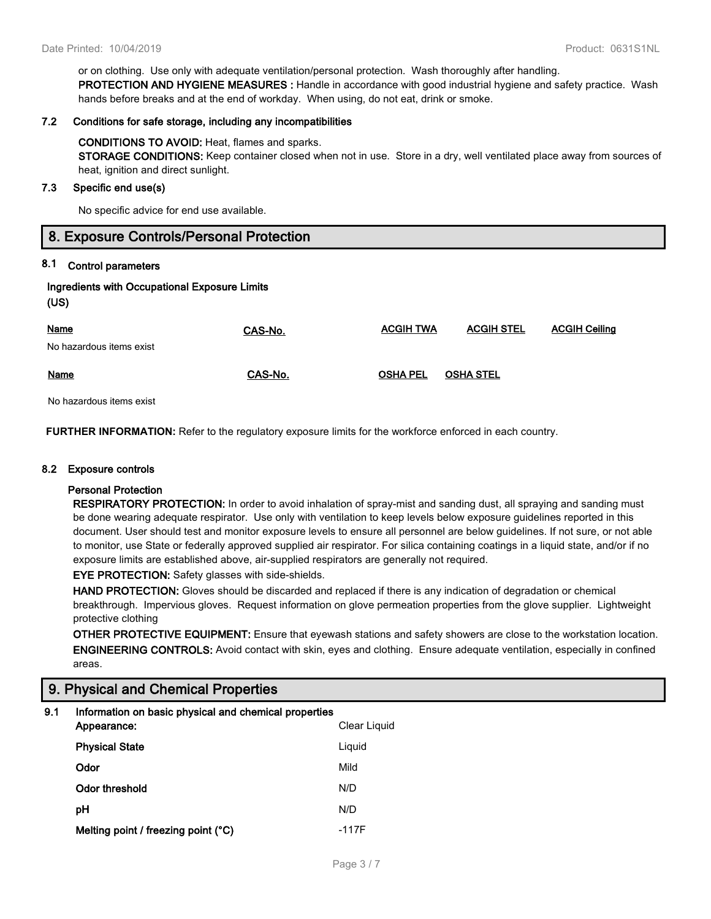or on clothing. Use only with adequate ventilation/personal protection. Wash thoroughly after handling. **PROTECTION AND HYGIENE MEASURES :** Handle in accordance with good industrial hygiene and safety practice. Wash hands before breaks and at the end of workday. When using, do not eat, drink or smoke.

#### **7.2 Conditions for safe storage, including any incompatibilities**

#### **CONDITIONS TO AVOID:** Heat, flames and sparks.

**STORAGE CONDITIONS:** Keep container closed when not in use. Store in a dry, well ventilated place away from sources of heat, ignition and direct sunlight.

#### **7.3 Specific end use(s)**

No specific advice for end use available.

### **8. Exposure Controls/Personal Protection**

#### **8.1 Control parameters**

| Ingredients with Occupational Exposure Limits |
|-----------------------------------------------|
| (US)                                          |
|                                               |

| <u>Name</u>              | CAS-No. | <b>ACGIH TWA</b> | <b>ACGIH STEL</b> | <b>ACGIH Ceiling</b> |
|--------------------------|---------|------------------|-------------------|----------------------|
| No hazardous items exist |         |                  |                   |                      |
| <b>Name</b>              | CAS-No. | <b>OSHA PEL</b>  | <b>OSHA STEL</b>  |                      |

No hazardous items exist

**FURTHER INFORMATION:** Refer to the regulatory exposure limits for the workforce enforced in each country.

#### **8.2 Exposure controls**

#### **Personal Protection**

**RESPIRATORY PROTECTION:** In order to avoid inhalation of spray-mist and sanding dust, all spraying and sanding must be done wearing adequate respirator. Use only with ventilation to keep levels below exposure guidelines reported in this document. User should test and monitor exposure levels to ensure all personnel are below guidelines. If not sure, or not able to monitor, use State or federally approved supplied air respirator. For silica containing coatings in a liquid state, and/or if no exposure limits are established above, air-supplied respirators are generally not required.

**EYE PROTECTION:** Safety glasses with side-shields.

**HAND PROTECTION:** Gloves should be discarded and replaced if there is any indication of degradation or chemical breakthrough. Impervious gloves. Request information on glove permeation properties from the glove supplier. Lightweight protective clothing

**OTHER PROTECTIVE EQUIPMENT:** Ensure that eyewash stations and safety showers are close to the workstation location. **ENGINEERING CONTROLS:** Avoid contact with skin, eyes and clothing. Ensure adequate ventilation, especially in confined areas.

# **9. Physical and Chemical Properties**

| 9.1 | Information on basic physical and chemical properties |              |
|-----|-------------------------------------------------------|--------------|
|     | Appearance:                                           | Clear Liquid |
|     | <b>Physical State</b>                                 | Liguid       |
|     | Odor                                                  | Mild         |
|     | Odor threshold                                        | N/D          |
|     | рH                                                    | N/D          |
|     | Melting point / freezing point (°C)                   | -117F        |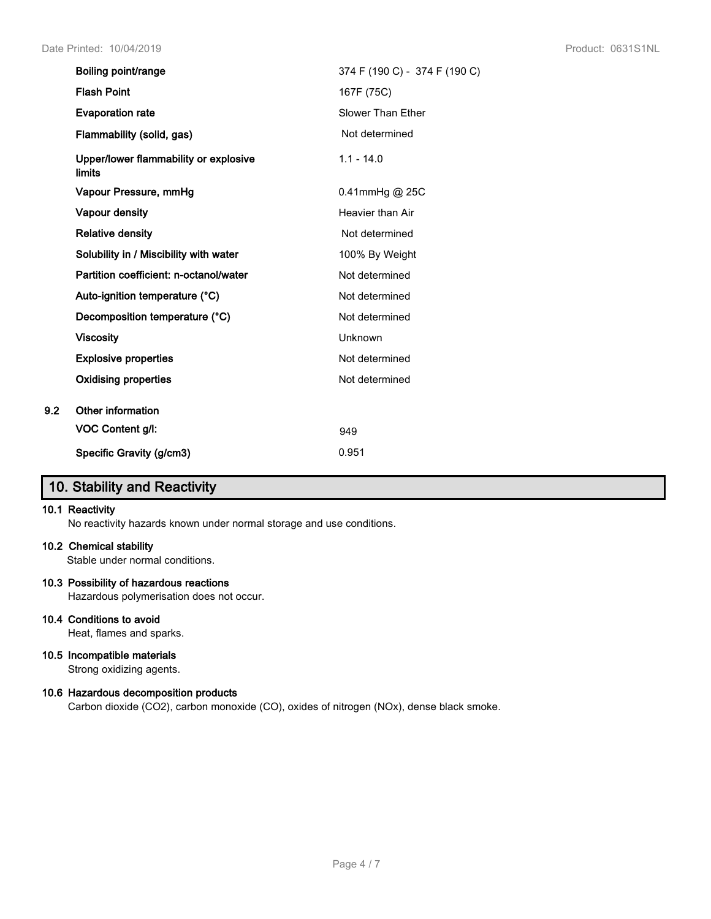| Boiling point/range                                    | 374 F (190 C) - 374 F (190 C) |
|--------------------------------------------------------|-------------------------------|
| <b>Flash Point</b>                                     | 167F (75C)                    |
| <b>Evaporation rate</b>                                | <b>Slower Than Ether</b>      |
| Flammability (solid, gas)                              | Not determined                |
| Upper/lower flammability or explosive<br><b>limits</b> | $1.1 - 14.0$                  |
| Vapour Pressure, mmHg                                  | $0.41$ mmHq $@$ 25C           |
| Vapour density                                         | Heavier than Air              |
| <b>Relative density</b>                                | Not determined                |
| Solubility in / Miscibility with water                 | 100% By Weight                |
| Partition coefficient: n-octanol/water                 | Not determined                |
| Auto-ignition temperature (°C)                         | Not determined                |
| Decomposition temperature (°C)                         | Not determined                |
| <b>Viscosity</b>                                       | Unknown                       |
| <b>Explosive properties</b>                            | Not determined                |
| <b>Oxidising properties</b>                            | Not determined                |
| Other information                                      |                               |
| VOC Content g/l:                                       | 949                           |
| Specific Gravity (g/cm3)                               | 0.951                         |

# **10. Stability and Reactivity**

#### **10.1 Reactivity**

**9.2** 

No reactivity hazards known under normal storage and use conditions.

#### **10.2 Chemical stability**

Stable under normal conditions.

#### **10.3 Possibility of hazardous reactions**

Hazardous polymerisation does not occur.

### **10.4 Conditions to avoid**

Heat, flames and sparks.

#### **10.5 Incompatible materials**

Strong oxidizing agents.

#### **10.6 Hazardous decomposition products**

Carbon dioxide (CO2), carbon monoxide (CO), oxides of nitrogen (NOx), dense black smoke.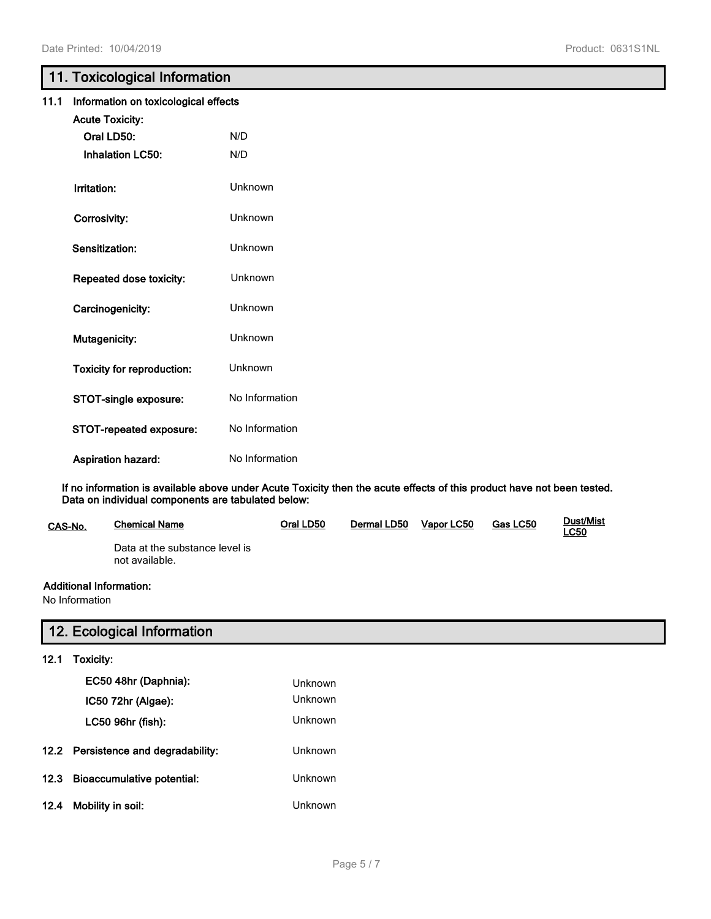# **11. Toxicological Information**

| 11.1 | Information on toxicological effects |                |  |
|------|--------------------------------------|----------------|--|
|      | <b>Acute Toxicity:</b>               |                |  |
|      | Oral LD50:                           | N/D            |  |
|      | <b>Inhalation LC50:</b>              | N/D            |  |
|      | Irritation:                          | Unknown        |  |
|      | Corrosivity:                         | Unknown        |  |
|      | Sensitization:                       | Unknown        |  |
|      | Repeated dose toxicity:              | Unknown        |  |
|      | Carcinogenicity:                     | Unknown        |  |
|      | Mutagenicity:                        | Unknown        |  |
|      | <b>Toxicity for reproduction:</b>    | Unknown        |  |
|      | STOT-single exposure:                | No Information |  |
|      | STOT-repeated exposure:              | No Information |  |
|      | <b>Aspiration hazard:</b>            | No Information |  |

**If no information is available above under Acute Toxicity then the acute effects of this product have not been tested. Data on individual components are tabulated below:**

| CAS-No. | <b>Chemical Name</b>                             | Oral LD50 | Dermal LD50 | Vapor LC50 | Gas LC50 | <b>Dust/Mist</b><br><u>LC50</u> |
|---------|--------------------------------------------------|-----------|-------------|------------|----------|---------------------------------|
|         | Data at the substance level is<br>not available. |           |             |            |          |                                 |

#### **Additional Information:**

No Information

# **12. Ecological Information**

### **12.1 Toxicity:**

|      | EC50 48hr (Daphnia):                | Unknown |
|------|-------------------------------------|---------|
|      | IC50 72hr (Algae):                  | Unknown |
|      | LC50 96hr (fish):                   | Unknown |
|      | 12.2 Persistence and degradability: | Unknown |
| 12.3 | <b>Bioaccumulative potential:</b>   | Unknown |
| 12.4 | Mobility in soil:                   | Unknown |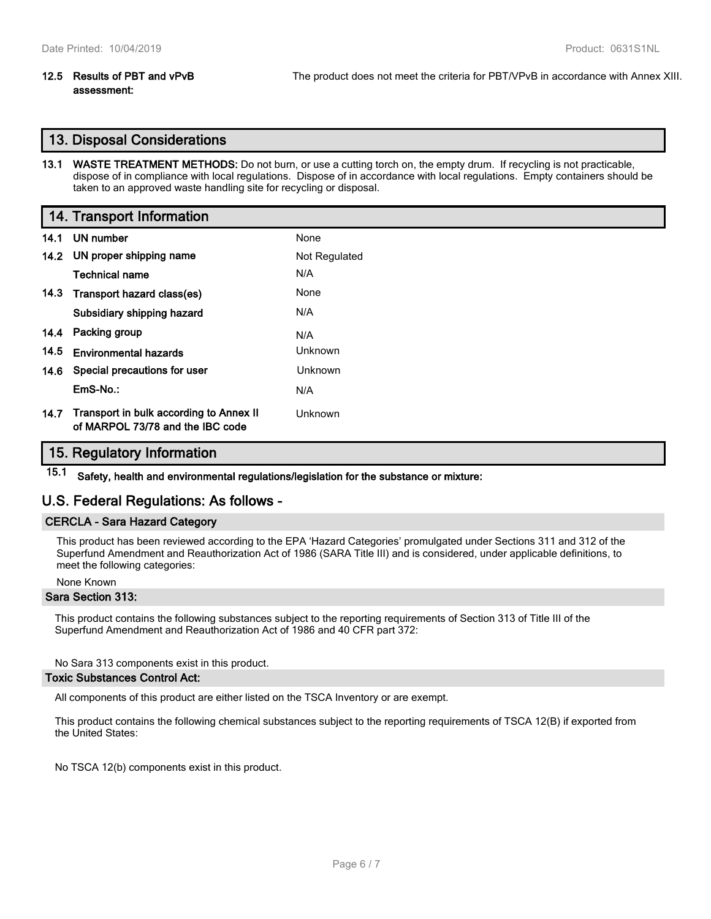#### **12.5 Results of PBT and vPvB assessment:**

The product does not meet the criteria for PBT/VPvB in accordance with Annex XIII.

#### **13. Disposal Considerations**

**13.1 WASTE TREATMENT METHODS:** Do not burn, or use a cutting torch on, the empty drum. If recycling is not practicable, dispose of in compliance with local regulations. Dispose of in accordance with local regulations. Empty containers should be taken to an approved waste handling site for recycling or disposal.

### **14. Transport Information**

|      | 14.1 UN number                                                              | None          |
|------|-----------------------------------------------------------------------------|---------------|
|      | 14.2 UN proper shipping name                                                | Not Regulated |
|      | <b>Technical name</b>                                                       | N/A           |
|      | 14.3 Transport hazard class(es)                                             | None          |
|      | Subsidiary shipping hazard                                                  | N/A           |
| 14.4 | Packing group                                                               | N/A           |
| 14.5 | <b>Environmental hazards</b>                                                | Unknown       |
| 14.6 | Special precautions for user                                                | Unknown       |
|      | EmS-No.:                                                                    | N/A           |
| 14.7 | Transport in bulk according to Annex II<br>of MARPOL 73/78 and the IBC code | Unknown       |

### **15. Regulatory Information**

**15.1 Safety, health and environmental regulations/legislation for the substance or mixture:**

### **U.S. Federal Regulations: As follows -**

#### **CERCLA - Sara Hazard Category**

This product has been reviewed according to the EPA 'Hazard Categories' promulgated under Sections 311 and 312 of the Superfund Amendment and Reauthorization Act of 1986 (SARA Title III) and is considered, under applicable definitions, to meet the following categories:

#### None Known

#### **Sara Section 313:**

This product contains the following substances subject to the reporting requirements of Section 313 of Title III of the Superfund Amendment and Reauthorization Act of 1986 and 40 CFR part 372:

No Sara 313 components exist in this product.

#### **Toxic Substances Control Act:**

All components of this product are either listed on the TSCA Inventory or are exempt.

This product contains the following chemical substances subject to the reporting requirements of TSCA 12(B) if exported from the United States:

No TSCA 12(b) components exist in this product.